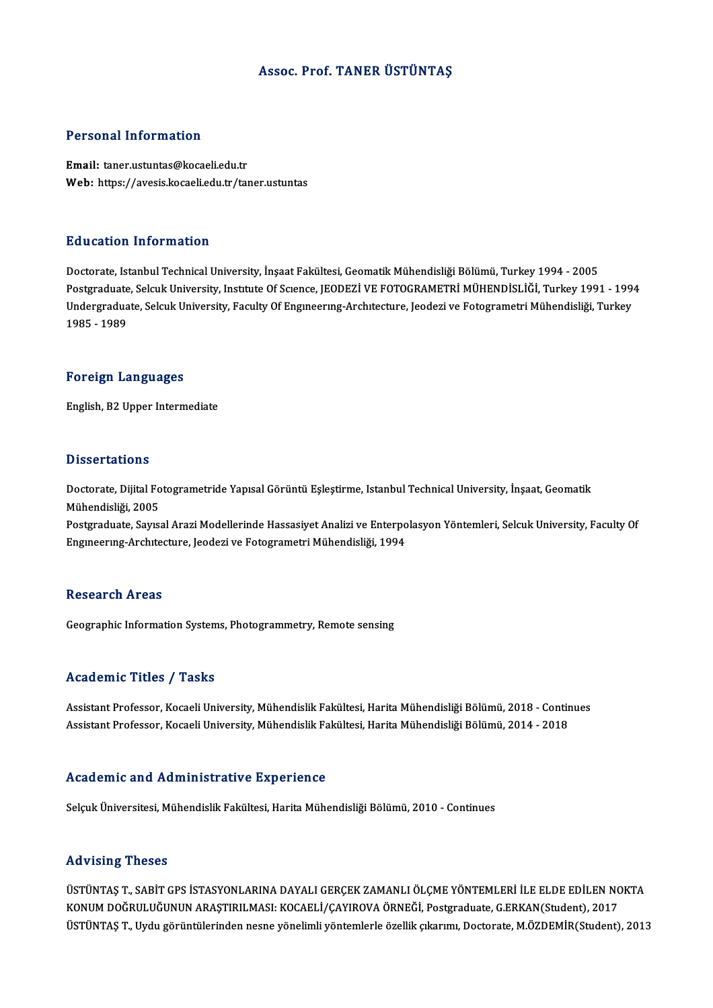## Assoc. Prof. TANER ÜSTÜNTAŞ

## Personal Information

Email: taner.ustuntas@kocaeli.edu.tr Web: https://avesis.kocaeli.edu.tr/taner.ustuntas

## Education Information

Doctorate, Istanbul Technical University, İnşaat Fakültesi, Geomatik Mühendisliği Bölümü, Turkey 1994 - 2005 Postgraduate, Selcuk University, Institute Of Science, JEODEZİ VE FOTOGRAMETRİ MÜHENDİSLİĞİ, Turkey 1991 - 1994 Doctorate, Istanbul Technical University, İnşaat Fakültesi, Geomatik Mühendisliği Bölümü, Turkey 1994 - 2005<br>Postgraduate, Selcuk University, Institute Of Science, JEODEZİ VE FOTOGRAMETRİ MÜHENDİSLİĞİ, Turkey 1991 - 199<br>Un Postgraduate<br>Undergradua<br>1985 - 1989 1985 - 1989<br>Foreign Languages

English,B2Upper Intermediate

### **Dissertations**

Dissertations<br>Doctorate, Dijital Fotogrametride Yapısal Görüntü Eşleştirme, Istanbul Technical University, İnşaat, Geomatik<br>Mühendisliği, 2005 Mühendisliği, 2005<br>Mühendisliği, 2005<br>Restanaduate Sauss

Mühendisliği, 2005<br>Postgraduate, Sayısal Arazi Modellerinde Hassasiyet Analizi ve Enterpolasyon Yöntemleri, Selcuk University, Faculty Of Engineering-Architecture, Jeodezi ve Fotogrametri Mühendisliği, 1994

## **Research Areas**

Geographic Information Systems, Photogrammetry, Remote sensing

## Academic Titles / Tasks

Academic Titles / Tasks<br>Assistant Professor, Kocaeli University, Mühendislik Fakültesi, Harita Mühendisliği Bölümü, 2018 - Continues<br>Assistant Professor, Kocaeli University, Mühendislik Fakültesi, Harita Mühendisliği Bölüm 110aa SIII o 11010 / 110110<br>Assistant Professor, Kocaeli University, Mühendislik Fakültesi, Harita Mühendisliği Bölümü, 2018 - Contir<br>Assistant Professor, Kocaeli University, Mühendislik Fakültesi, Harita Mühendisliği Bölü Assistant Professor, Kocaeli University, Mühendislik Fakültesi, Harita Mühendisliği Bölümü, 2014 - 2018<br>Academic and Administrative Experience

Selçuk Üniversitesi, Mühendislik Fakültesi, Harita Mühendisliği Bölümü, 2010 - Continues

## Advising Theses

ÜSTÜNTAŞ T., SABİT GPS İSTASYONLARINA DAYALI GERÇEK ZAMANLI ÖLÇME YÖNTEMLERİ İLE ELDE EDİLEN NOKTA KONUMDOĞRULUĞUNUNARAŞTIRILMASI:KOCAELİ/ÇAYIROVAÖRNEĞİ,Postgraduate,G.ERKAN(Student),2017 ÜSTÜNTAŞ T., Uydu görüntülerinden nesne yönelimli yöntemlerle özellik çıkarımı, Doctorate, M.ÖZDEMİR(Student), 2013